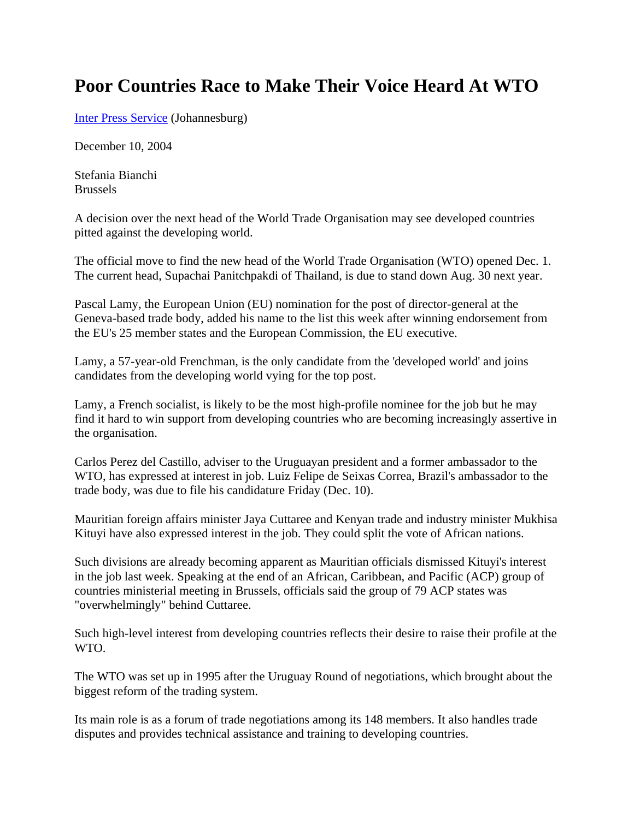## **Poor Countries Race to Make Their Voice Heard At WTO**

Inter Press Service (Johannesburg)

December 10, 2004

Stefania Bianchi Brussels

A decision over the next head of the World Trade Organisation may see developed countries pitted against the developing world.

The official move to find the new head of the World Trade Organisation (WTO) opened Dec. 1. The current head, Supachai Panitchpakdi of Thailand, is due to stand down Aug. 30 next year.

Pascal Lamy, the European Union (EU) nomination for the post of director-general at the Geneva-based trade body, added his name to the list this week after winning endorsement from the EU's 25 member states and the European Commission, the EU executive.

Lamy, a 57-year-old Frenchman, is the only candidate from the 'developed world' and joins candidates from the developing world vying for the top post.

Lamy, a French socialist, is likely to be the most high-profile nominee for the job but he may find it hard to win support from developing countries who are becoming increasingly assertive in the organisation.

Carlos Perez del Castillo, adviser to the Uruguayan president and a former ambassador to the WTO, has expressed at interest in job. Luiz Felipe de Seixas Correa, Brazil's ambassador to the trade body, was due to file his candidature Friday (Dec. 10).

Mauritian foreign affairs minister Jaya Cuttaree and Kenyan trade and industry minister Mukhisa Kituyi have also expressed interest in the job. They could split the vote of African nations.

Such divisions are already becoming apparent as Mauritian officials dismissed Kituyi's interest in the job last week. Speaking at the end of an African, Caribbean, and Pacific (ACP) group of countries ministerial meeting in Brussels, officials said the group of 79 ACP states was "overwhelmingly" behind Cuttaree.

Such high-level interest from developing countries reflects their desire to raise their profile at the WTO.

The WTO was set up in 1995 after the Uruguay Round of negotiations, which brought about the biggest reform of the trading system.

Its main role is as a forum of trade negotiations among its 148 members. It also handles trade disputes and provides technical assistance and training to developing countries.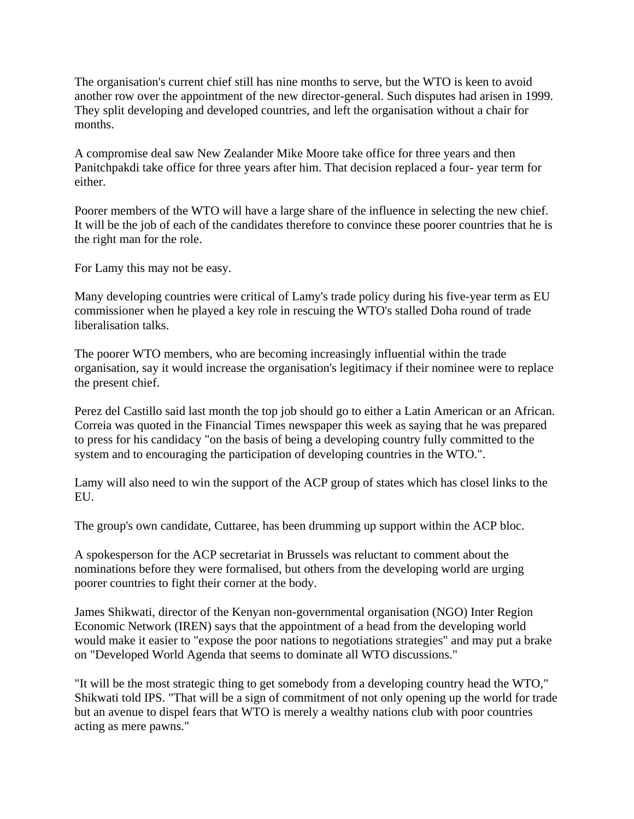The organisation's current chief still has nine months to serve, but the WTO is keen to avoid another row over the appointment of the new director-general. Such disputes had arisen in 1999. They split developing and developed countries, and left the organisation without a chair for months.

A compromise deal saw New Zealander Mike Moore take office for three years and then Panitchpakdi take office for three years after him. That decision replaced a four- year term for either.

Poorer members of the WTO will have a large share of the influence in selecting the new chief. It will be the job of each of the candidates therefore to convince these poorer countries that he is the right man for the role.

For Lamy this may not be easy.

Many developing countries were critical of Lamy's trade policy during his five-year term as EU commissioner when he played a key role in rescuing the WTO's stalled Doha round of trade liberalisation talks.

The poorer WTO members, who are becoming increasingly influential within the trade organisation, say it would increase the organisation's legitimacy if their nominee were to replace the present chief.

Perez del Castillo said last month the top job should go to either a Latin American or an African. Correia was quoted in the Financial Times newspaper this week as saying that he was prepared to press for his candidacy "on the basis of being a developing country fully committed to the system and to encouraging the participation of developing countries in the WTO.".

Lamy will also need to win the support of the ACP group of states which has closel links to the EU.

The group's own candidate, Cuttaree, has been drumming up support within the ACP bloc.

A spokesperson for the ACP secretariat in Brussels was reluctant to comment about the nominations before they were formalised, but others from the developing world are urging poorer countries to fight their corner at the body.

James Shikwati, director of the Kenyan non-governmental organisation (NGO) Inter Region Economic Network (IREN) says that the appointment of a head from the developing world would make it easier to "expose the poor nations to negotiations strategies" and may put a brake on "Developed World Agenda that seems to dominate all WTO discussions."

"It will be the most strategic thing to get somebody from a developing country head the WTO," Shikwati told IPS. "That will be a sign of commitment of not only opening up the world for trade but an avenue to dispel fears that WTO is merely a wealthy nations club with poor countries acting as mere pawns."